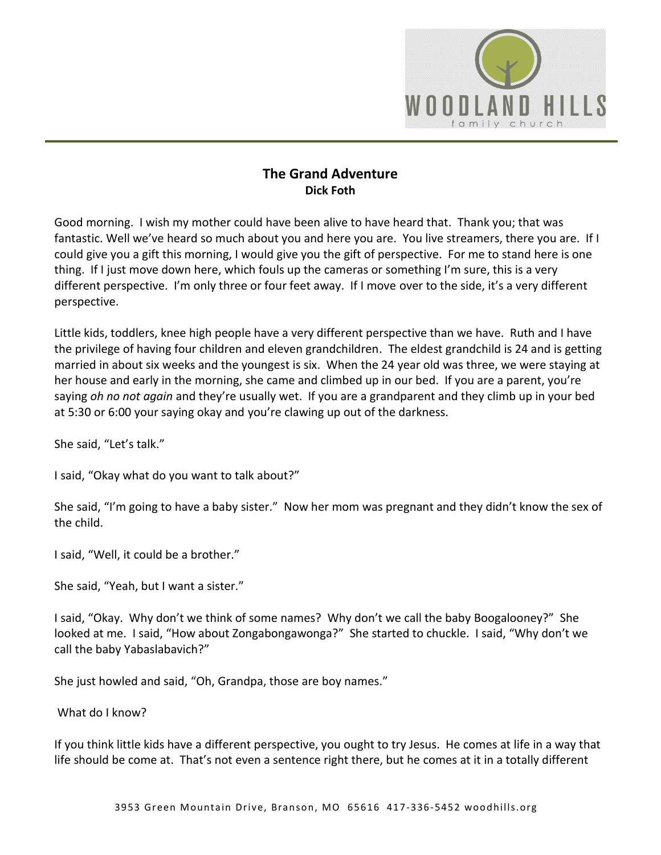

# **The Grand Adventure Dick Foth**

Good morning. I wish my mother could have been alive to have heard that. Thank you; that was fantastic. Well we've heard so much about you and here you are. You live streamers, there you are. If I could give you a gift this morning, I would give you the gift of perspective. For me to stand here is one thing. If I just move down here, which fouls up the cameras or something I'm sure, this is a very different perspective. I'm only three or four feet away. If I move over to the side, it's a very different perspective.

Little kids, toddlers, knee high people have a very different perspective than we have. Ruth and I have the privilege of having four children and eleven grandchildren. The eldest grandchild is 24 and is getting married in about six weeks and the youngest is six. When the 24 year old was three, we were staying at her house and early in the morning, she came and climbed up in our bed. If you are a parent, you're saying *oh no not again* and they're usually wet. If you are a grandparent and they climb up in your bed at 5:30 or 6:00 your saying okay and you're clawing up out of the darkness.

She said, "Let's talk."

I said, "Okay what do you want to talk about?"

She said, "I'm going to have a baby sister." Now her mom was pregnant and they didn't know the sex of the child.

I said, "Well, it could be a brother."

She said, "Yeah, but I want a sister."

I said, "Okay. Why don't we think of some names? Why don't we call the baby Boogalooney?" She looked at me. I said, "How about Zongabongawonga?" She started to chuckle. I said, "Why don't we call the baby Yabaslabavich?"

She just howled and said, "Oh, Grandpa, those are boy names."

What do I know?

If you think little kids have a different perspective, you ought to try Jesus. He comes at life in a way that life should be come at. That's not even a sentence right there, but he comes at it in a totally different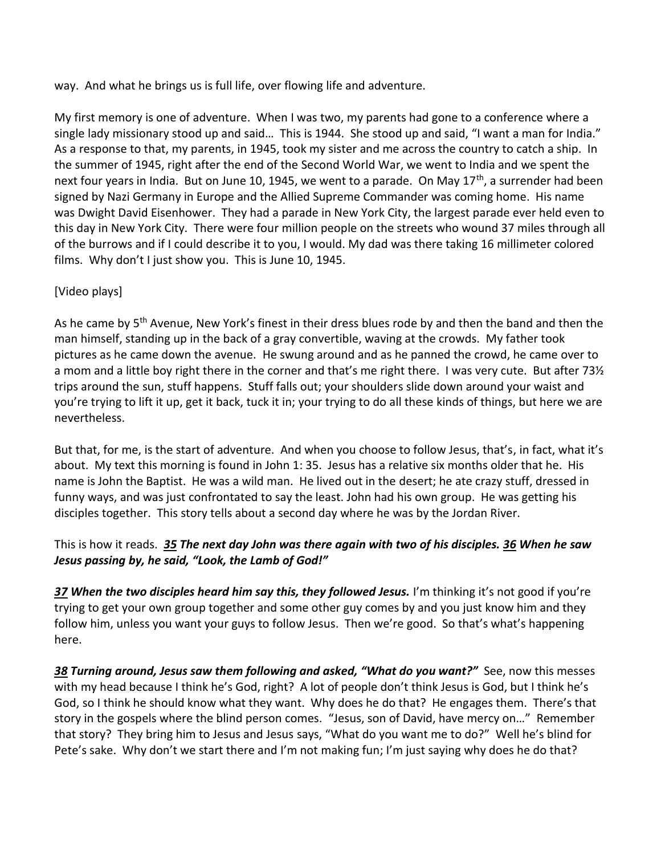way. And what he brings us is full life, over flowing life and adventure.

My first memory is one of adventure. When I was two, my parents had gone to a conference where a single lady missionary stood up and said… This is 1944. She stood up and said, "I want a man for India." As a response to that, my parents, in 1945, took my sister and me across the country to catch a ship. In the summer of 1945, right after the end of the Second World War, we went to India and we spent the next four years in India. But on June 10, 1945, we went to a parade. On May 17<sup>th</sup>, a surrender had been signed by Nazi Germany in Europe and the Allied Supreme Commander was coming home. His name was Dwight David Eisenhower. They had a parade in New York City, the largest parade ever held even to this day in New York City. There were four million people on the streets who wound 37 miles through all of the burrows and if I could describe it to you, I would. My dad was there taking 16 millimeter colored films. Why don't I just show you. This is June 10, 1945.

# [Video plays]

As he came by 5<sup>th</sup> Avenue, New York's finest in their dress blues rode by and then the band and then the man himself, standing up in the back of a gray convertible, waving at the crowds. My father took pictures as he came down the avenue. He swung around and as he panned the crowd, he came over to a mom and a little boy right there in the corner and that's me right there. I was very cute. But after 73½ trips around the sun, stuff happens. Stuff falls out; your shoulders slide down around your waist and you're trying to lift it up, get it back, tuck it in; your trying to do all these kinds of things, but here we are nevertheless.

But that, for me, is the start of adventure. And when you choose to follow Jesus, that's, in fact, what it's about. My text this morning is found in John 1: 35. Jesus has a relative six months older that he. His name is John the Baptist. He was a wild man. He lived out in the desert; he ate crazy stuff, dressed in funny ways, and was just confrontated to say the least. John had his own group. He was getting his disciples together. This story tells about a second day where he was by the Jordan River.

# This is how it reads. *[35](http://www.studylight.org/desk/?q=joh%201:35&t1=en_niv&sr=1) The next day John was there again with two of his disciples. [36](http://www.studylight.org/desk/?q=joh%201:36&t1=en_niv&sr=1) When he saw Jesus passing by, he said, "Look, the Lamb of God!"*

*[37](http://www.studylight.org/desk/?q=joh%201:37&t1=en_niv&sr=1) When the two disciples heard him say this, they followed Jesus.* I'm thinking it's not good if you're trying to get your own group together and some other guy comes by and you just know him and they follow him, unless you want your guys to follow Jesus. Then we're good. So that's what's happening here.

*[38](http://www.studylight.org/desk/?q=joh%201:38&t1=en_niv&sr=1) Turning around, Jesus saw them following and asked, "What do you want?"* See, now this messes with my head because I think he's God, right? A lot of people don't think Jesus is God, but I think he's God, so I think he should know what they want. Why does he do that? He engages them. There's that story in the gospels where the blind person comes. "Jesus, son of David, have mercy on…" Remember that story? They bring him to Jesus and Jesus says, "What do you want me to do?" Well he's blind for Pete's sake. Why don't we start there and I'm not making fun; I'm just saying why does he do that?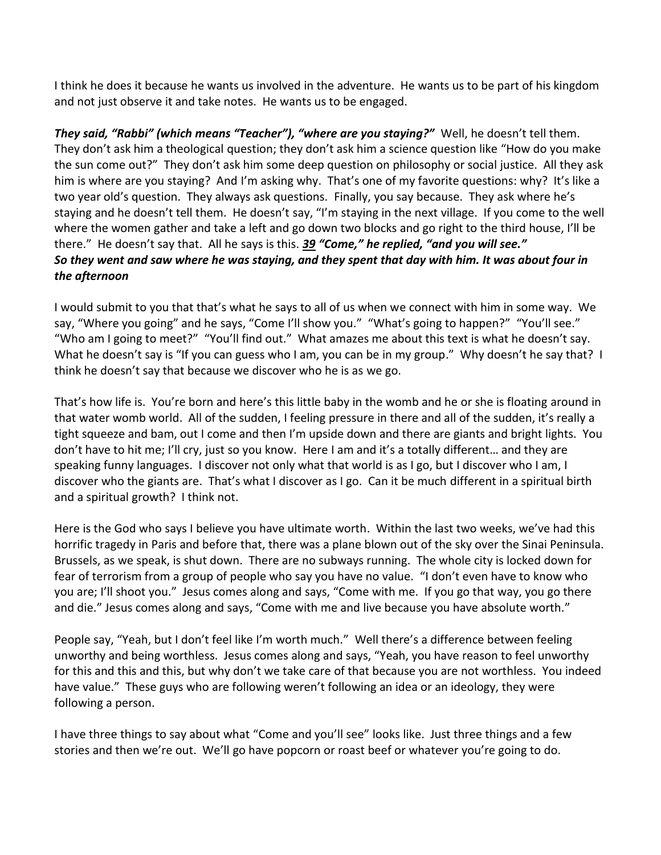I think he does it because he wants us involved in the adventure. He wants us to be part of his kingdom and not just observe it and take notes. He wants us to be engaged.

*They said, "Rabbi" (which means "Teacher"), "where are you staying?"* Well, he doesn't tell them. They don't ask him a theological question; they don't ask him a science question like "How do you make the sun come out?" They don't ask him some deep question on philosophy or social justice. All they ask him is where are you staying? And I'm asking why. That's one of my favorite questions: why? It's like a two year old's question. They always ask questions. Finally, you say because. They ask where he's staying and he doesn't tell them. He doesn't say, "I'm staying in the next village. If you come to the well where the women gather and take a left and go down two blocks and go right to the third house, I'll be there." He doesn't say that. All he says is this. *[39](http://www.studylight.org/desk/?q=joh%201:39&t1=en_niv&sr=1) "Come," he replied, "and you will see." So they went and saw where he was staying, and they spent that day with him. It was about four in the afternoon*

I would submit to you that that's what he says to all of us when we connect with him in some way. We say, "Where you going" and he says, "Come I'll show you." "What's going to happen?" "You'll see." "Who am I going to meet?" "You'll find out." What amazes me about this text is what he doesn't say. What he doesn't say is "If you can guess who I am, you can be in my group." Why doesn't he say that? I think he doesn't say that because we discover who he is as we go.

That's how life is. You're born and here's this little baby in the womb and he or she is floating around in that water womb world. All of the sudden, I feeling pressure in there and all of the sudden, it's really a tight squeeze and bam, out I come and then I'm upside down and there are giants and bright lights. You don't have to hit me; I'll cry, just so you know. Here I am and it's a totally different… and they are speaking funny languages. I discover not only what that world is as I go, but I discover who I am, I discover who the giants are. That's what I discover as I go. Can it be much different in a spiritual birth and a spiritual growth? I think not.

Here is the God who says I believe you have ultimate worth. Within the last two weeks, we've had this horrific tragedy in Paris and before that, there was a plane blown out of the sky over the Sinai Peninsula. Brussels, as we speak, is shut down. There are no subways running. The whole city is locked down for fear of terrorism from a group of people who say you have no value. "I don't even have to know who you are; I'll shoot you." Jesus comes along and says, "Come with me. If you go that way, you go there and die." Jesus comes along and says, "Come with me and live because you have absolute worth."

People say, "Yeah, but I don't feel like I'm worth much." Well there's a difference between feeling unworthy and being worthless. Jesus comes along and says, "Yeah, you have reason to feel unworthy for this and this and this, but why don't we take care of that because you are not worthless. You indeed have value." These guys who are following weren't following an idea or an ideology, they were following a person.

I have three things to say about what "Come and you'll see" looks like. Just three things and a few stories and then we're out. We'll go have popcorn or roast beef or whatever you're going to do.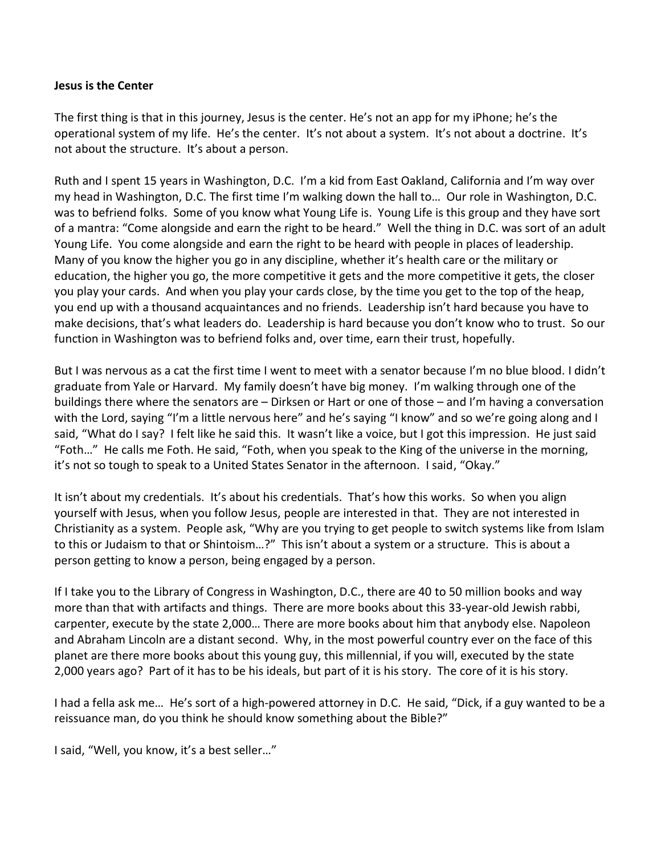#### **Jesus is the Center**

The first thing is that in this journey, Jesus is the center. He's not an app for my iPhone; he's the operational system of my life. He's the center. It's not about a system. It's not about a doctrine. It's not about the structure. It's about a person.

Ruth and I spent 15 years in Washington, D.C. I'm a kid from East Oakland, California and I'm way over my head in Washington, D.C. The first time I'm walking down the hall to… Our role in Washington, D.C. was to befriend folks. Some of you know what Young Life is. Young Life is this group and they have sort of a mantra: "Come alongside and earn the right to be heard." Well the thing in D.C. was sort of an adult Young Life. You come alongside and earn the right to be heard with people in places of leadership. Many of you know the higher you go in any discipline, whether it's health care or the military or education, the higher you go, the more competitive it gets and the more competitive it gets, the closer you play your cards. And when you play your cards close, by the time you get to the top of the heap, you end up with a thousand acquaintances and no friends. Leadership isn't hard because you have to make decisions, that's what leaders do. Leadership is hard because you don't know who to trust. So our function in Washington was to befriend folks and, over time, earn their trust, hopefully.

But I was nervous as a cat the first time I went to meet with a senator because I'm no blue blood. I didn't graduate from Yale or Harvard. My family doesn't have big money. I'm walking through one of the buildings there where the senators are – Dirksen or Hart or one of those – and I'm having a conversation with the Lord, saying "I'm a little nervous here" and he's saying "I know" and so we're going along and I said, "What do I say? I felt like he said this. It wasn't like a voice, but I got this impression. He just said "Foth…" He calls me Foth. He said, "Foth, when you speak to the King of the universe in the morning, it's not so tough to speak to a United States Senator in the afternoon. I said, "Okay."

It isn't about my credentials. It's about his credentials. That's how this works. So when you align yourself with Jesus, when you follow Jesus, people are interested in that. They are not interested in Christianity as a system. People ask, "Why are you trying to get people to switch systems like from Islam to this or Judaism to that or Shintoism…?" This isn't about a system or a structure. This is about a person getting to know a person, being engaged by a person.

If I take you to the Library of Congress in Washington, D.C., there are 40 to 50 million books and way more than that with artifacts and things. There are more books about this 33-year-old Jewish rabbi, carpenter, execute by the state 2,000… There are more books about him that anybody else. Napoleon and Abraham Lincoln are a distant second. Why, in the most powerful country ever on the face of this planet are there more books about this young guy, this millennial, if you will, executed by the state 2,000 years ago? Part of it has to be his ideals, but part of it is his story. The core of it is his story.

I had a fella ask me… He's sort of a high-powered attorney in D.C. He said, "Dick, if a guy wanted to be a reissuance man, do you think he should know something about the Bible?"

I said, "Well, you know, it's a best seller…"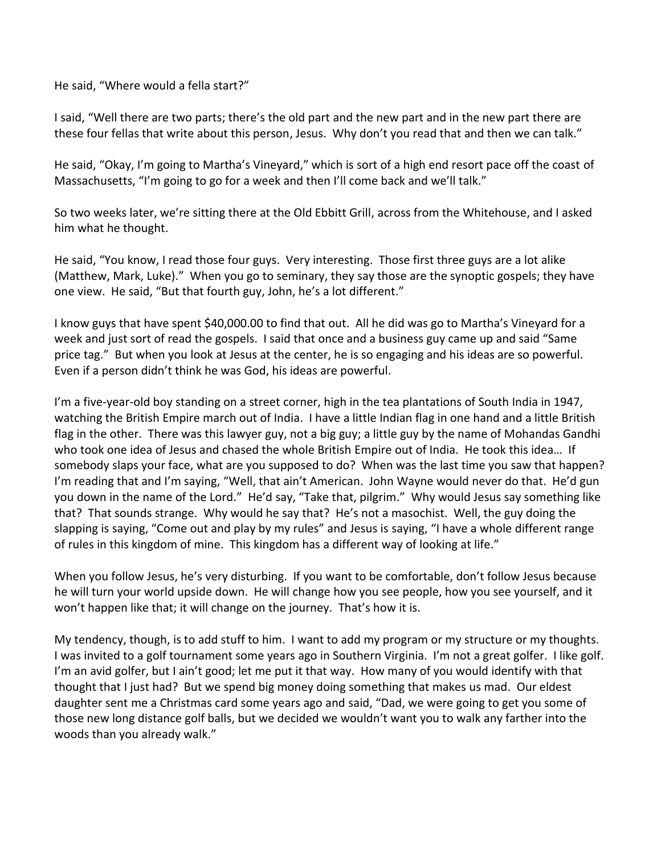He said, "Where would a fella start?"

I said, "Well there are two parts; there's the old part and the new part and in the new part there are these four fellas that write about this person, Jesus. Why don't you read that and then we can talk."

He said, "Okay, I'm going to Martha's Vineyard," which is sort of a high end resort pace off the coast of Massachusetts, "I'm going to go for a week and then I'll come back and we'll talk."

So two weeks later, we're sitting there at the Old Ebbitt Grill, across from the Whitehouse, and I asked him what he thought.

He said, "You know, I read those four guys. Very interesting. Those first three guys are a lot alike (Matthew, Mark, Luke)." When you go to seminary, they say those are the synoptic gospels; they have one view. He said, "But that fourth guy, John, he's a lot different."

I know guys that have spent \$40,000.00 to find that out. All he did was go to Martha's Vineyard for a week and just sort of read the gospels. I said that once and a business guy came up and said "Same price tag." But when you look at Jesus at the center, he is so engaging and his ideas are so powerful. Even if a person didn't think he was God, his ideas are powerful.

I'm a five-year-old boy standing on a street corner, high in the tea plantations of South India in 1947, watching the British Empire march out of India. I have a little Indian flag in one hand and a little British flag in the other. There was this lawyer guy, not a big guy; a little guy by the name of Mohandas Gandhi who took one idea of Jesus and chased the whole British Empire out of India. He took this idea… If somebody slaps your face, what are you supposed to do? When was the last time you saw that happen? I'm reading that and I'm saying, "Well, that ain't American. John Wayne would never do that. He'd gun you down in the name of the Lord." He'd say, "Take that, pilgrim." Why would Jesus say something like that? That sounds strange. Why would he say that? He's not a masochist. Well, the guy doing the slapping is saying, "Come out and play by my rules" and Jesus is saying, "I have a whole different range of rules in this kingdom of mine. This kingdom has a different way of looking at life."

When you follow Jesus, he's very disturbing. If you want to be comfortable, don't follow Jesus because he will turn your world upside down. He will change how you see people, how you see yourself, and it won't happen like that; it will change on the journey. That's how it is.

My tendency, though, is to add stuff to him. I want to add my program or my structure or my thoughts. I was invited to a golf tournament some years ago in Southern Virginia. I'm not a great golfer. I like golf. I'm an avid golfer, but I ain't good; let me put it that way. How many of you would identify with that thought that I just had? But we spend big money doing something that makes us mad. Our eldest daughter sent me a Christmas card some years ago and said, "Dad, we were going to get you some of those new long distance golf balls, but we decided we wouldn't want you to walk any farther into the woods than you already walk."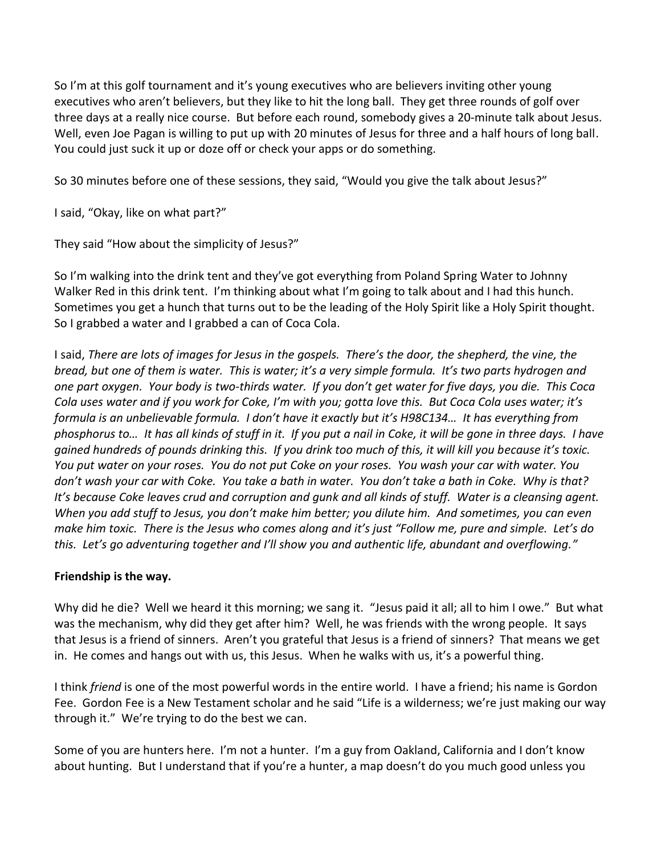So I'm at this golf tournament and it's young executives who are believers inviting other young executives who aren't believers, but they like to hit the long ball. They get three rounds of golf over three days at a really nice course. But before each round, somebody gives a 20-minute talk about Jesus. Well, even Joe Pagan is willing to put up with 20 minutes of Jesus for three and a half hours of long ball. You could just suck it up or doze off or check your apps or do something.

So 30 minutes before one of these sessions, they said, "Would you give the talk about Jesus?"

I said, "Okay, like on what part?"

They said "How about the simplicity of Jesus?"

So I'm walking into the drink tent and they've got everything from Poland Spring Water to Johnny Walker Red in this drink tent. I'm thinking about what I'm going to talk about and I had this hunch. Sometimes you get a hunch that turns out to be the leading of the Holy Spirit like a Holy Spirit thought. So I grabbed a water and I grabbed a can of Coca Cola.

I said, *There are lots of images for Jesus in the gospels. There's the door, the shepherd, the vine, the bread, but one of them is water. This is water; it's a very simple formula. It's two parts hydrogen and one part oxygen. Your body is two-thirds water. If you don't get water for five days, you die. This Coca Cola uses water and if you work for Coke, I'm with you; gotta love this. But Coca Cola uses water; it's formula is an unbelievable formula. I don't have it exactly but it's H98C134… It has everything from phosphorus to… It has all kinds of stuff in it. If you put a nail in Coke, it will be gone in three days. I have gained hundreds of pounds drinking this. If you drink too much of this, it will kill you because it's toxic. You put water on your roses. You do not put Coke on your roses. You wash your car with water. You don't wash your car with Coke. You take a bath in water. You don't take a bath in Coke. Why is that? It's because Coke leaves crud and corruption and gunk and all kinds of stuff. Water is a cleansing agent. When you add stuff to Jesus, you don't make him better; you dilute him. And sometimes, you can even make him toxic. There is the Jesus who comes along and it's just "Follow me, pure and simple. Let's do this. Let's go adventuring together and I'll show you and authentic life, abundant and overflowing."* 

### **Friendship is the way.**

Why did he die? Well we heard it this morning; we sang it. "Jesus paid it all; all to him I owe." But what was the mechanism, why did they get after him? Well, he was friends with the wrong people. It says that Jesus is a friend of sinners. Aren't you grateful that Jesus is a friend of sinners? That means we get in. He comes and hangs out with us, this Jesus. When he walks with us, it's a powerful thing.

I think *friend* is one of the most powerful words in the entire world. I have a friend; his name is Gordon Fee. Gordon Fee is a New Testament scholar and he said "Life is a wilderness; we're just making our way through it." We're trying to do the best we can.

Some of you are hunters here. I'm not a hunter. I'm a guy from Oakland, California and I don't know about hunting. But I understand that if you're a hunter, a map doesn't do you much good unless you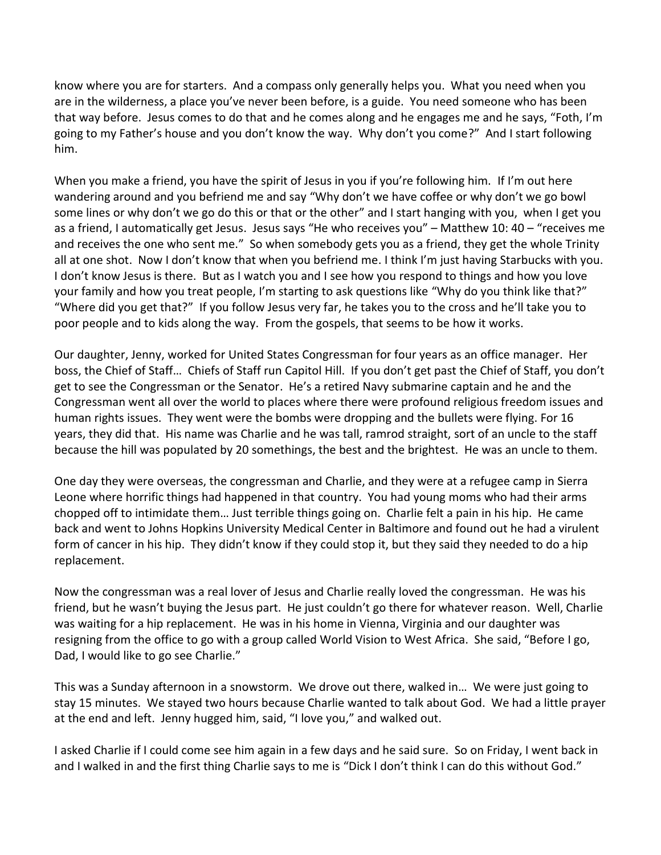know where you are for starters. And a compass only generally helps you. What you need when you are in the wilderness, a place you've never been before, is a guide. You need someone who has been that way before. Jesus comes to do that and he comes along and he engages me and he says, "Foth, I'm going to my Father's house and you don't know the way. Why don't you come?" And I start following him.

When you make a friend, you have the spirit of Jesus in you if you're following him. If I'm out here wandering around and you befriend me and say "Why don't we have coffee or why don't we go bowl some lines or why don't we go do this or that or the other" and I start hanging with you, when I get you as a friend, I automatically get Jesus. Jesus says "He who receives you" – Matthew 10: 40 – "receives me and receives the one who sent me." So when somebody gets you as a friend, they get the whole Trinity all at one shot. Now I don't know that when you befriend me. I think I'm just having Starbucks with you. I don't know Jesus is there. But as I watch you and I see how you respond to things and how you love your family and how you treat people, I'm starting to ask questions like "Why do you think like that?" "Where did you get that?" If you follow Jesus very far, he takes you to the cross and he'll take you to poor people and to kids along the way. From the gospels, that seems to be how it works.

Our daughter, Jenny, worked for United States Congressman for four years as an office manager. Her boss, the Chief of Staff… Chiefs of Staff run Capitol Hill. If you don't get past the Chief of Staff, you don't get to see the Congressman or the Senator. He's a retired Navy submarine captain and he and the Congressman went all over the world to places where there were profound religious freedom issues and human rights issues. They went were the bombs were dropping and the bullets were flying. For 16 years, they did that. His name was Charlie and he was tall, ramrod straight, sort of an uncle to the staff because the hill was populated by 20 somethings, the best and the brightest. He was an uncle to them.

One day they were overseas, the congressman and Charlie, and they were at a refugee camp in Sierra Leone where horrific things had happened in that country. You had young moms who had their arms chopped off to intimidate them… Just terrible things going on. Charlie felt a pain in his hip. He came back and went to Johns Hopkins University Medical Center in Baltimore and found out he had a virulent form of cancer in his hip. They didn't know if they could stop it, but they said they needed to do a hip replacement.

Now the congressman was a real lover of Jesus and Charlie really loved the congressman. He was his friend, but he wasn't buying the Jesus part. He just couldn't go there for whatever reason. Well, Charlie was waiting for a hip replacement. He was in his home in Vienna, Virginia and our daughter was resigning from the office to go with a group called World Vision to West Africa. She said, "Before I go, Dad, I would like to go see Charlie."

This was a Sunday afternoon in a snowstorm. We drove out there, walked in… We were just going to stay 15 minutes. We stayed two hours because Charlie wanted to talk about God. We had a little prayer at the end and left. Jenny hugged him, said, "I love you," and walked out.

I asked Charlie if I could come see him again in a few days and he said sure. So on Friday, I went back in and I walked in and the first thing Charlie says to me is "Dick I don't think I can do this without God."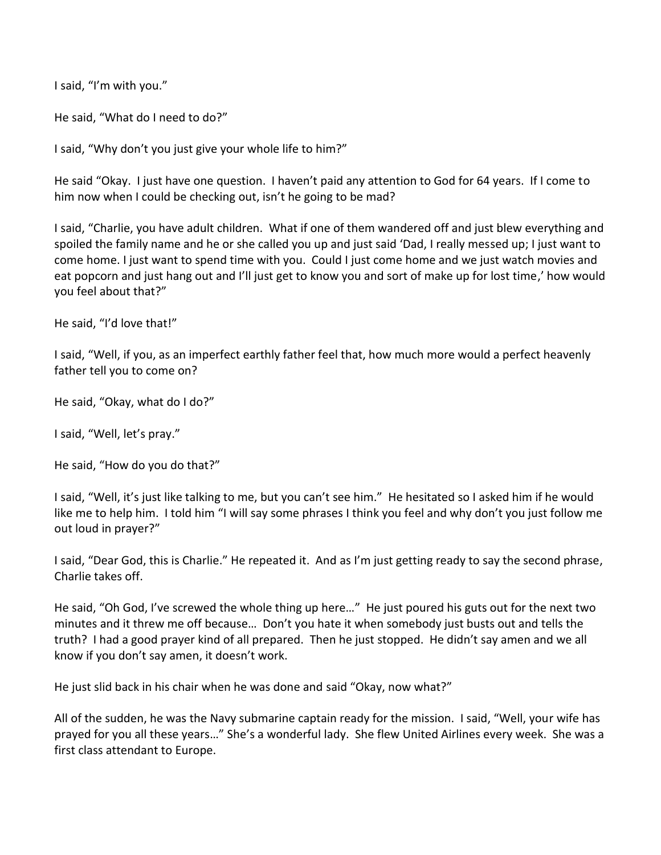I said, "I'm with you."

He said, "What do I need to do?"

I said, "Why don't you just give your whole life to him?"

He said "Okay. I just have one question. I haven't paid any attention to God for 64 years. If I come to him now when I could be checking out, isn't he going to be mad?

I said, "Charlie, you have adult children. What if one of them wandered off and just blew everything and spoiled the family name and he or she called you up and just said 'Dad, I really messed up; I just want to come home. I just want to spend time with you. Could I just come home and we just watch movies and eat popcorn and just hang out and I'll just get to know you and sort of make up for lost time,' how would you feel about that?"

He said, "I'd love that!"

I said, "Well, if you, as an imperfect earthly father feel that, how much more would a perfect heavenly father tell you to come on?

He said, "Okay, what do I do?"

I said, "Well, let's pray."

He said, "How do you do that?"

I said, "Well, it's just like talking to me, but you can't see him." He hesitated so I asked him if he would like me to help him. I told him "I will say some phrases I think you feel and why don't you just follow me out loud in prayer?"

I said, "Dear God, this is Charlie." He repeated it. And as I'm just getting ready to say the second phrase, Charlie takes off.

He said, "Oh God, I've screwed the whole thing up here…" He just poured his guts out for the next two minutes and it threw me off because… Don't you hate it when somebody just busts out and tells the truth? I had a good prayer kind of all prepared. Then he just stopped. He didn't say amen and we all know if you don't say amen, it doesn't work.

He just slid back in his chair when he was done and said "Okay, now what?"

All of the sudden, he was the Navy submarine captain ready for the mission. I said, "Well, your wife has prayed for you all these years…" She's a wonderful lady. She flew United Airlines every week. She was a first class attendant to Europe.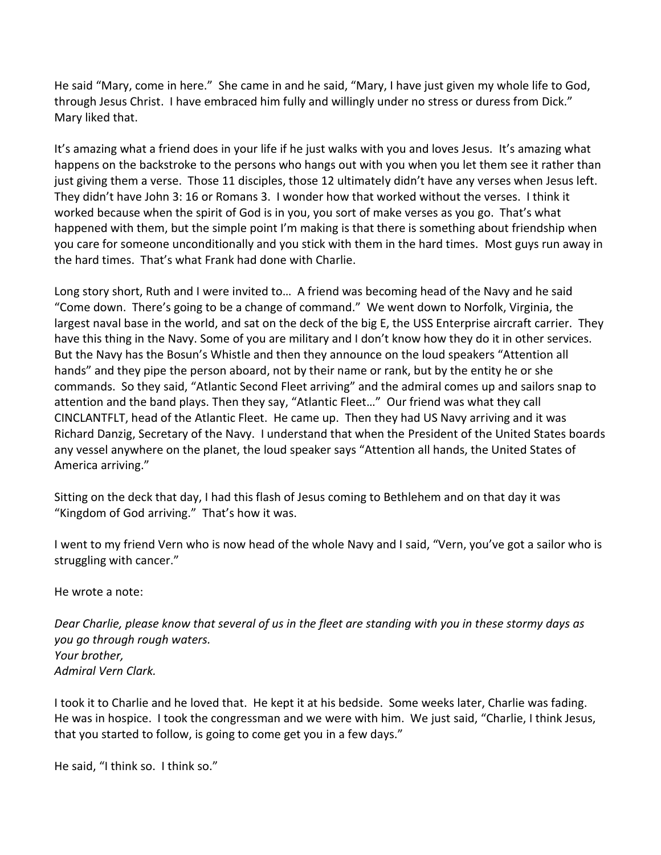He said "Mary, come in here." She came in and he said, "Mary, I have just given my whole life to God, through Jesus Christ. I have embraced him fully and willingly under no stress or duress from Dick." Mary liked that.

It's amazing what a friend does in your life if he just walks with you and loves Jesus. It's amazing what happens on the backstroke to the persons who hangs out with you when you let them see it rather than just giving them a verse. Those 11 disciples, those 12 ultimately didn't have any verses when Jesus left. They didn't have John 3: 16 or Romans 3. I wonder how that worked without the verses. I think it worked because when the spirit of God is in you, you sort of make verses as you go. That's what happened with them, but the simple point I'm making is that there is something about friendship when you care for someone unconditionally and you stick with them in the hard times. Most guys run away in the hard times. That's what Frank had done with Charlie.

Long story short, Ruth and I were invited to… A friend was becoming head of the Navy and he said "Come down. There's going to be a change of command." We went down to Norfolk, Virginia, the largest naval base in the world, and sat on the deck of the big E, the USS Enterprise aircraft carrier. They have this thing in the Navy. Some of you are military and I don't know how they do it in other services. But the Navy has the Bosun's Whistle and then they announce on the loud speakers "Attention all hands" and they pipe the person aboard, not by their name or rank, but by the entity he or she commands. So they said, "Atlantic Second Fleet arriving" and the admiral comes up and sailors snap to attention and the band plays. Then they say, "Atlantic Fleet…" Our friend was what they call CINCLANTFLT, head of the Atlantic Fleet. He came up. Then they had US Navy arriving and it was Richard Danzig, Secretary of the Navy. I understand that when the President of the United States boards any vessel anywhere on the planet, the loud speaker says "Attention all hands, the United States of America arriving."

Sitting on the deck that day, I had this flash of Jesus coming to Bethlehem and on that day it was "Kingdom of God arriving." That's how it was.

I went to my friend Vern who is now head of the whole Navy and I said, "Vern, you've got a sailor who is struggling with cancer."

He wrote a note:

*Dear Charlie, please know that several of us in the fleet are standing with you in these stormy days as you go through rough waters. Your brother, Admiral Vern Clark.*

I took it to Charlie and he loved that. He kept it at his bedside. Some weeks later, Charlie was fading. He was in hospice. I took the congressman and we were with him. We just said, "Charlie, I think Jesus, that you started to follow, is going to come get you in a few days."

He said, "I think so. I think so."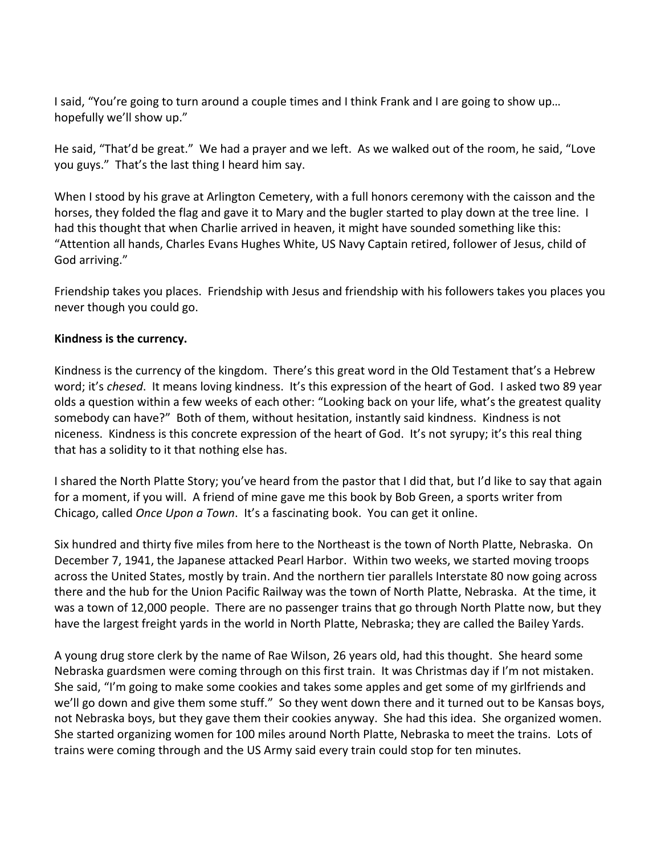I said, "You're going to turn around a couple times and I think Frank and I are going to show up… hopefully we'll show up."

He said, "That'd be great." We had a prayer and we left. As we walked out of the room, he said, "Love you guys." That's the last thing I heard him say.

When I stood by his grave at Arlington Cemetery, with a full honors ceremony with the caisson and the horses, they folded the flag and gave it to Mary and the bugler started to play down at the tree line. I had this thought that when Charlie arrived in heaven, it might have sounded something like this: "Attention all hands, Charles Evans Hughes White, US Navy Captain retired, follower of Jesus, child of God arriving."

Friendship takes you places. Friendship with Jesus and friendship with his followers takes you places you never though you could go.

### **Kindness is the currency.**

Kindness is the currency of the kingdom. There's this great word in the Old Testament that's a Hebrew word; it's *chesed*. It means loving kindness. It's this expression of the heart of God. I asked two 89 year olds a question within a few weeks of each other: "Looking back on your life, what's the greatest quality somebody can have?" Both of them, without hesitation, instantly said kindness. Kindness is not niceness. Kindness is this concrete expression of the heart of God. It's not syrupy; it's this real thing that has a solidity to it that nothing else has.

I shared the North Platte Story; you've heard from the pastor that I did that, but I'd like to say that again for a moment, if you will. A friend of mine gave me this book by Bob Green, a sports writer from Chicago, called *Once Upon a Town*. It's a fascinating book. You can get it online.

Six hundred and thirty five miles from here to the Northeast is the town of North Platte, Nebraska. On December 7, 1941, the Japanese attacked Pearl Harbor. Within two weeks, we started moving troops across the United States, mostly by train. And the northern tier parallels Interstate 80 now going across there and the hub for the Union Pacific Railway was the town of North Platte, Nebraska. At the time, it was a town of 12,000 people. There are no passenger trains that go through North Platte now, but they have the largest freight yards in the world in North Platte, Nebraska; they are called the Bailey Yards.

A young drug store clerk by the name of Rae Wilson, 26 years old, had this thought. She heard some Nebraska guardsmen were coming through on this first train. It was Christmas day if I'm not mistaken. She said, "I'm going to make some cookies and takes some apples and get some of my girlfriends and we'll go down and give them some stuff." So they went down there and it turned out to be Kansas boys, not Nebraska boys, but they gave them their cookies anyway. She had this idea. She organized women. She started organizing women for 100 miles around North Platte, Nebraska to meet the trains. Lots of trains were coming through and the US Army said every train could stop for ten minutes.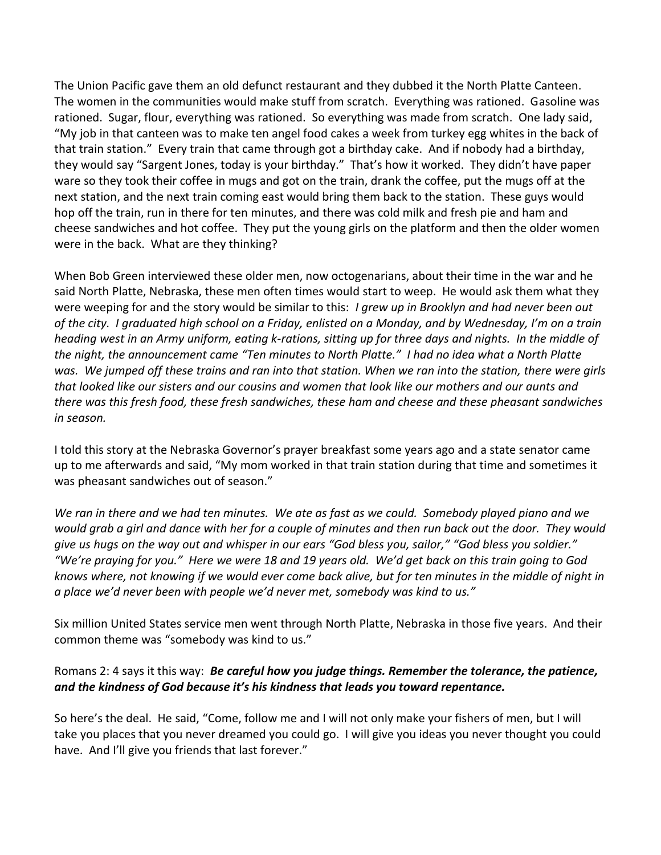The Union Pacific gave them an old defunct restaurant and they dubbed it the North Platte Canteen. The women in the communities would make stuff from scratch. Everything was rationed. Gasoline was rationed. Sugar, flour, everything was rationed. So everything was made from scratch. One lady said, "My job in that canteen was to make ten angel food cakes a week from turkey egg whites in the back of that train station." Every train that came through got a birthday cake. And if nobody had a birthday, they would say "Sargent Jones, today is your birthday." That's how it worked. They didn't have paper ware so they took their coffee in mugs and got on the train, drank the coffee, put the mugs off at the next station, and the next train coming east would bring them back to the station. These guys would hop off the train, run in there for ten minutes, and there was cold milk and fresh pie and ham and cheese sandwiches and hot coffee. They put the young girls on the platform and then the older women were in the back. What are they thinking?

When Bob Green interviewed these older men, now octogenarians, about their time in the war and he said North Platte, Nebraska, these men often times would start to weep. He would ask them what they were weeping for and the story would be similar to this: *I grew up in Brooklyn and had never been out of the city. I graduated high school on a Friday, enlisted on a Monday, and by Wednesday, I'm on a train heading west in an Army uniform, eating k-rations, sitting up for three days and nights. In the middle of the night, the announcement came "Ten minutes to North Platte." I had no idea what a North Platte was. We jumped off these trains and ran into that station. When we ran into the station, there were girls that looked like our sisters and our cousins and women that look like our mothers and our aunts and there was this fresh food, these fresh sandwiches, these ham and cheese and these pheasant sandwiches in season.* 

I told this story at the Nebraska Governor's prayer breakfast some years ago and a state senator came up to me afterwards and said, "My mom worked in that train station during that time and sometimes it was pheasant sandwiches out of season."

*We ran in there and we had ten minutes. We ate as fast as we could. Somebody played piano and we would grab a girl and dance with her for a couple of minutes and then run back out the door. They would give us hugs on the way out and whisper in our ears "God bless you, sailor," "God bless you soldier." "We're praying for you." Here we were 18 and 19 years old. We'd get back on this train going to God knows where, not knowing if we would ever come back alive, but for ten minutes in the middle of night in a place we'd never been with people we'd never met, somebody was kind to us."*

Six million United States service men went through North Platte, Nebraska in those five years. And their common theme was "somebody was kind to us."

# Romans 2: 4 says it this way: *Be careful how you judge things. Remember the tolerance, the patience, and the kindness of God because it's his kindness that leads you toward repentance.*

So here's the deal. He said, "Come, follow me and I will not only make your fishers of men, but I will take you places that you never dreamed you could go. I will give you ideas you never thought you could have. And I'll give you friends that last forever."